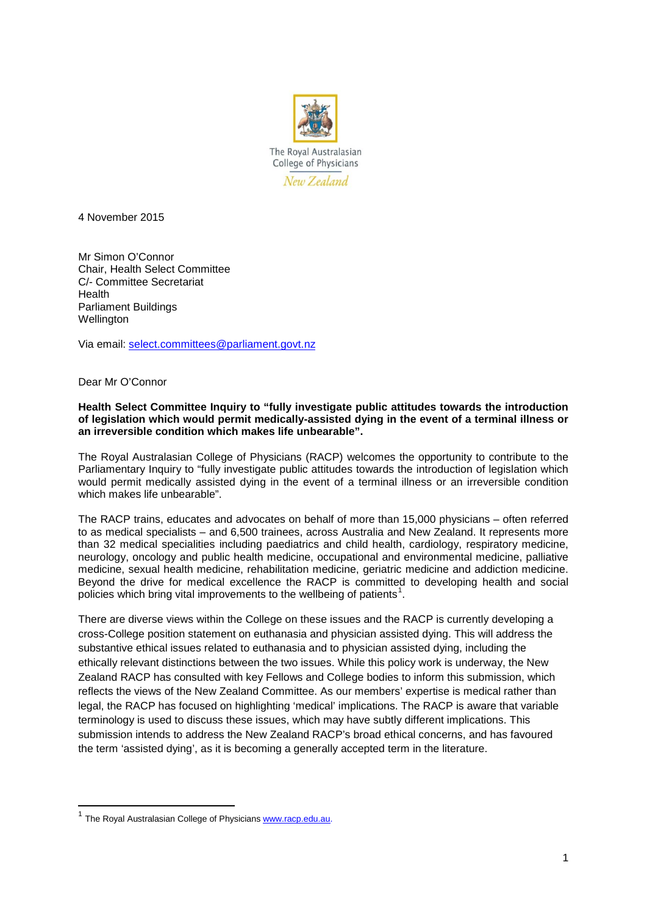

4 November 2015

Mr Simon O'Connor Chair, Health Select Committee C/- Committee Secretariat Health Parliament Buildings **Wellington** 

Via email: [select.committees@parliament.govt.nz](mailto:select.committees@parliament.govt.nz)

Dear Mr O'Connor

**.** 

## **Health Select Committee Inquiry to "fully investigate public attitudes towards the introduction of legislation which would permit medically-assisted dying in the event of a terminal illness or an irreversible condition which makes life unbearable".**

The Royal Australasian College of Physicians (RACP) welcomes the opportunity to contribute to the Parliamentary Inquiry to "fully investigate public attitudes towards the introduction of legislation which would permit medically assisted dying in the event of a terminal illness or an irreversible condition which makes life unbearable".

The RACP trains, educates and advocates on behalf of more than 15,000 physicians – often referred to as medical specialists – and 6,500 trainees, across Australia and New Zealand. It represents more than 32 medical specialities including paediatrics and child health, cardiology, respiratory medicine, neurology, oncology and public health medicine, occupational and environmental medicine, palliative medicine, sexual health medicine, rehabilitation medicine, geriatric medicine and addiction medicine. Beyond the drive for medical excellence the RACP is committed to developing health and social policies which bring vital improvements to the wellbeing of patients<sup>[1](#page-0-0)</sup>.

There are diverse views within the College on these issues and the RACP is currently developing a cross-College position statement on euthanasia and physician assisted dying. This will address the substantive ethical issues related to euthanasia and to physician assisted dying, including the ethically relevant distinctions between the two issues. While this policy work is underway, the New Zealand RACP has consulted with key Fellows and College bodies to inform this submission, which reflects the views of the New Zealand Committee. As our members' expertise is medical rather than legal, the RACP has focused on highlighting 'medical' implications. The RACP is aware that variable terminology is used to discuss these issues, which may have subtly different implications. This submission intends to address the New Zealand RACP's broad ethical concerns, and has favoured the term 'assisted dying', as it is becoming a generally accepted term in the literature.

<span id="page-0-0"></span><sup>&</sup>lt;sup>1</sup> The Roval Australasian College of Physicians [www.racp.edu.au.](http://www.racp.edu.au/)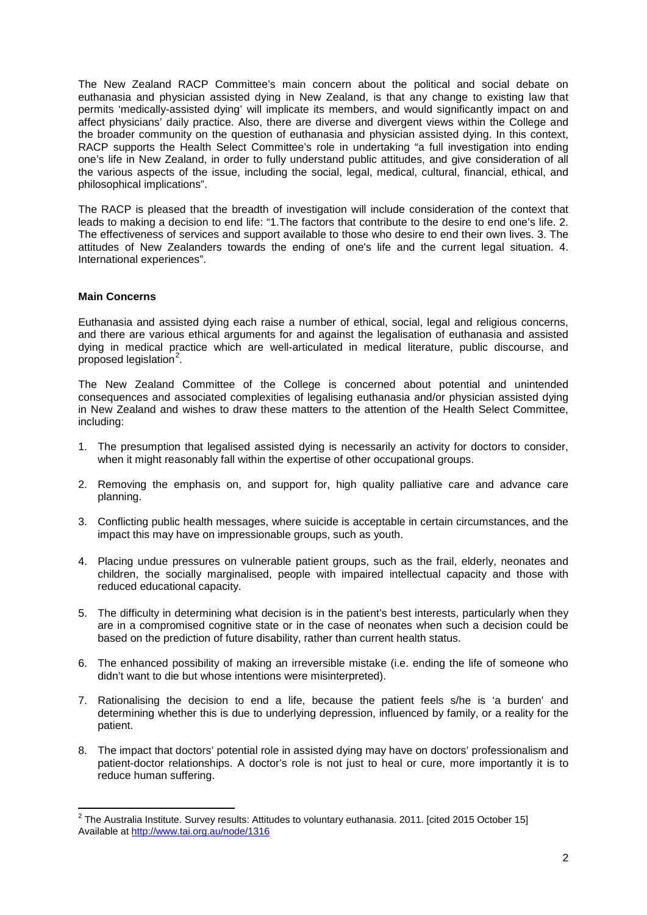The New Zealand RACP Committee's main concern about the political and social debate on euthanasia and physician assisted dying in New Zealand, is that any change to existing law that permits 'medically-assisted dying' will implicate its members, and would significantly impact on and affect physicians' daily practice. Also, there are diverse and divergent views within the College and the broader community on the question of euthanasia and physician assisted dying. In this context, RACP supports the Health Select Committee's role in undertaking "a full investigation into ending one's life in New Zealand, in order to fully understand public attitudes, and give consideration of all the various aspects of the issue, including the social, legal, medical, cultural, financial, ethical, and philosophical implications".

The RACP is pleased that the breadth of investigation will include consideration of the context that leads to making a decision to end life: "1.The factors that contribute to the desire to end one's life. 2. The effectiveness of services and support available to those who desire to end their own lives. 3. The attitudes of New Zealanders towards the ending of one's life and the current legal situation. 4. International experiences".

## **Main Concerns**

Euthanasia and assisted dying each raise a number of ethical, social, legal and religious concerns, and there are various ethical arguments for and against the legalisation of euthanasia and assisted dying in medical practice which are well-articulated in medical literature, public discourse, and proposed legislation<sup>[2](#page-1-0)</sup>.

The New Zealand Committee of the College is concerned about potential and unintended consequences and associated complexities of legalising euthanasia and/or physician assisted dying in New Zealand and wishes to draw these matters to the attention of the Health Select Committee, including:

- 1. The presumption that legalised assisted dying is necessarily an activity for doctors to consider, when it might reasonably fall within the expertise of other occupational groups.
- 2. Removing the emphasis on, and support for, high quality palliative care and advance care planning.
- 3. Conflicting public health messages, where suicide is acceptable in certain circumstances, and the impact this may have on impressionable groups, such as youth.
- 4. Placing undue pressures on vulnerable patient groups, such as the frail, elderly, neonates and children, the socially marginalised, people with impaired intellectual capacity and those with reduced educational capacity.
- 5. The difficulty in determining what decision is in the patient's best interests, particularly when they are in a compromised cognitive state or in the case of neonates when such a decision could be based on the prediction of future disability, rather than current health status.
- 6. The enhanced possibility of making an irreversible mistake (i.e. ending the life of someone who didn't want to die but whose intentions were misinterpreted).
- 7. Rationalising the decision to end a life, because the patient feels s/he is 'a burden' and determining whether this is due to underlying depression, influenced by family, or a reality for the patient.
- 8. The impact that doctors' potential role in assisted dying may have on doctors' professionalism and patient-doctor relationships. A doctor's role is not just to heal or cure, more importantly it is to reduce human suffering.

<span id="page-1-0"></span> $^2$  The Australia Institute. Survey results: Attitudes to voluntary euthanasia. 2011. [cited 2015 October 15] Available at<http://www.tai.org.au/node/1316>  $\overline{a}$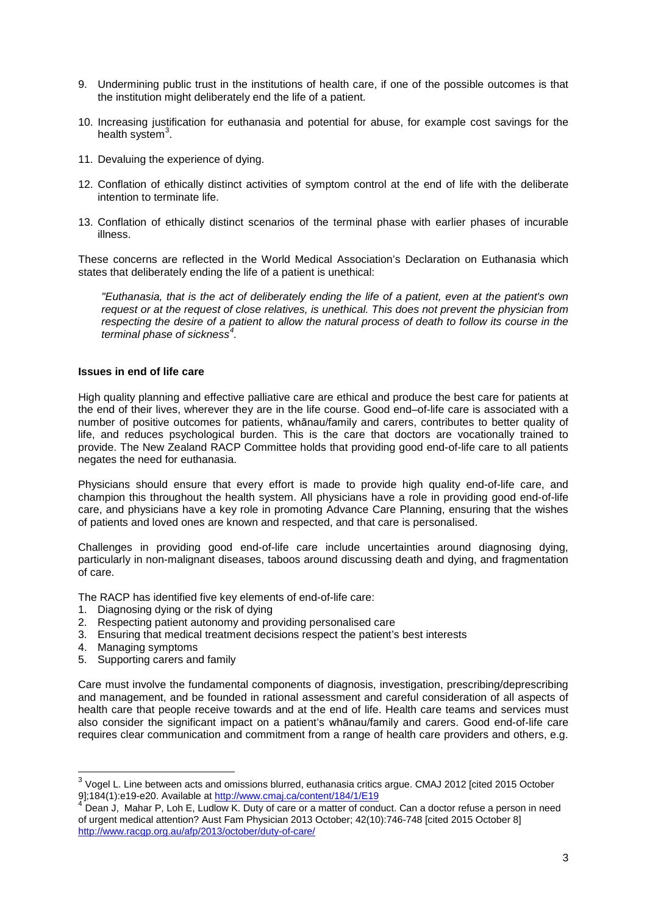- 9. Undermining public trust in the institutions of health care, if one of the possible outcomes is that the institution might deliberately end the life of a patient.
- 10. Increasing justification for euthanasia and potential for abuse, for example cost savings for the health system<sup>[3](#page-2-0)</sup>.
- 11. Devaluing the experience of dying.
- 12. Conflation of ethically distinct activities of symptom control at the end of life with the deliberate intention to terminate life.
- 13. Conflation of ethically distinct scenarios of the terminal phase with earlier phases of incurable illness.

These concerns are reflected in the World Medical Association's Declaration on Euthanasia which states that deliberately ending the life of a patient is unethical:

*"Euthanasia, that is the act of deliberately ending the life of a patient, even at the patient's own request or at the request of close relatives, is unethical. This does not prevent the physician from respecting the desire of a patient to allow the natural process of death to follow its course in the terminal phase of sickness[4](#page-2-1) .*

## **Issues in end of life care**

High quality planning and effective palliative care are ethical and produce the best care for patients at the end of their lives, wherever they are in the life course. Good end–of-life care is associated with a number of positive outcomes for patients, whānau/family and carers, contributes to better quality of life, and reduces psychological burden. This is the care that doctors are vocationally trained to provide. The New Zealand RACP Committee holds that providing good end-of-life care to all patients negates the need for euthanasia.

Physicians should ensure that every effort is made to provide high quality end-of-life care, and champion this throughout the health system. All physicians have a role in providing good end-of-life care, and physicians have a key role in promoting Advance Care Planning, ensuring that the wishes of patients and loved ones are known and respected, and that care is personalised.

Challenges in providing good end-of-life care include uncertainties around diagnosing dying, particularly in non-malignant diseases, taboos around discussing death and dying, and fragmentation of care.

The RACP has identified five key elements of end-of-life care:

- 1. Diagnosing dying or the risk of dying
- 2. Respecting patient autonomy and providing personalised care
- 3. Ensuring that medical treatment decisions respect the patient's best interests
- 4. Managing symptoms

**.** 

5. Supporting carers and family

Care must involve the fundamental components of diagnosis, investigation, prescribing/deprescribing and management, and be founded in rational assessment and careful consideration of all aspects of health care that people receive towards and at the end of life. Health care teams and services must also consider the significant impact on a patient's whānau/family and carers. Good end-of-life care requires clear communication and commitment from a range of health care providers and others, e.g.

<span id="page-2-0"></span> $3$  Vogel L. Line between acts and omissions blurred, euthanasia critics argue. CMAJ 2012 [cited 2015 October 9];184(1):e19-e20. Available a[t http://www.cmaj.ca/content/184/1/E19](http://www.cmaj.ca/content/184/1/E19)

<span id="page-2-1"></span><sup>&</sup>lt;sup>4</sup> Dean J, Mahar P. Loh E. Ludlow K. Duty of care or a matter of conduct. Can a doctor refuse a person in need of urgent medical attention? Aust Fam Physician 2013 October; 42(10):746-748 [cited 2015 October 8] <http://www.racgp.org.au/afp/2013/october/duty-of-care/>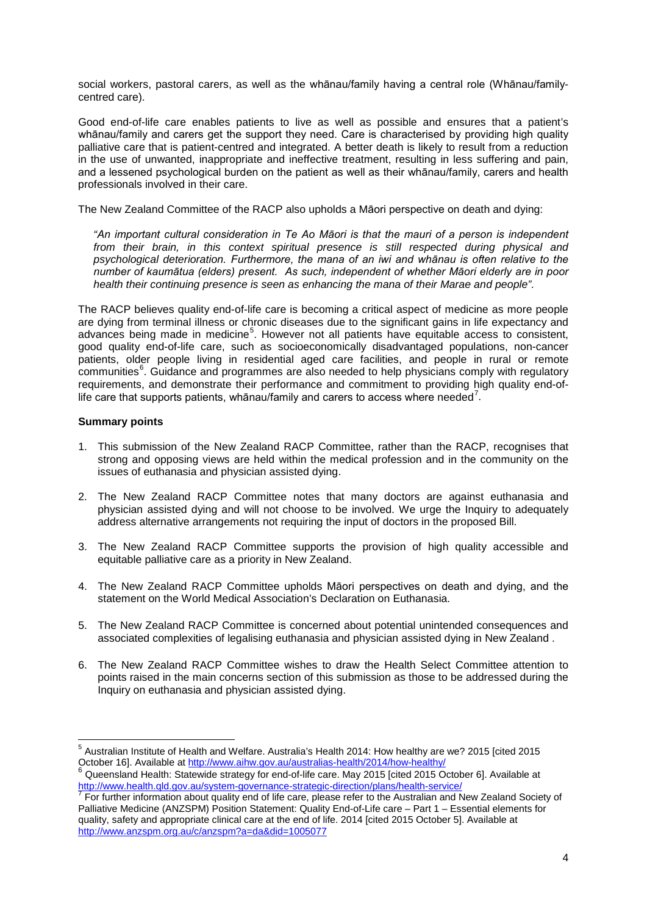social workers, pastoral carers, as well as the whānau/family having a central role (Whānau/familycentred care).

Good end-of-life care enables patients to live as well as possible and ensures that a patient's whānau/family and carers get the support they need. Care is characterised by providing high quality palliative care that is patient-centred and integrated. A better death is likely to result from a reduction in the use of unwanted, inappropriate and ineffective treatment, resulting in less suffering and pain, and a lessened psychological burden on the patient as well as their whānau/family, carers and health professionals involved in their care.

The New Zealand Committee of the RACP also upholds a Māori perspective on death and dying:

*"An important cultural consideration in Te Ao Māori is that the mauri of a person is independent from their brain, in this context spiritual presence is still respected during physical and psychological deterioration. Furthermore, the mana of an iwi and whānau is often relative to the number of kaumātua (elders) present. As such, independent of whether Māori elderly are in poor health their continuing presence is seen as enhancing the mana of their Marae and people".*

The RACP believes quality end-of-life care is becoming a critical aspect of medicine as more people are dying from terminal illness or chronic diseases due to the significant gains in life expectancy and advances being made in medicine<sup>[5](#page-3-0)</sup>. However not all patients have equitable access to consistent, good quality end-of-life care, such as socioeconomically disadvantaged populations, non-cancer patients, older people living in residential aged care facilities, and people in rural or remote communities<sup>[6](#page-3-1)</sup>. Guidance and programmes are also needed to help physicians comply with regulatory requirements, and demonstrate their performance and commitment to providing high quality end-of-life care that supports patients, whānau/family and carers to access where needed<sup>[7](#page-3-2)</sup>.

## **Summary points**

**.** 

- 1. This submission of the New Zealand RACP Committee, rather than the RACP, recognises that strong and opposing views are held within the medical profession and in the community on the issues of euthanasia and physician assisted dying.
- 2. The New Zealand RACP Committee notes that many doctors are against euthanasia and physician assisted dying and will not choose to be involved. We urge the Inquiry to adequately address alternative arrangements not requiring the input of doctors in the proposed Bill.
- 3. The New Zealand RACP Committee supports the provision of high quality accessible and equitable palliative care as a priority in New Zealand.
- 4. The New Zealand RACP Committee upholds Māori perspectives on death and dying, and the statement on the World Medical Association's Declaration on Euthanasia.
- 5. The New Zealand RACP Committee is concerned about potential unintended consequences and associated complexities of legalising euthanasia and physician assisted dying in New Zealand .
- 6. The New Zealand RACP Committee wishes to draw the Health Select Committee attention to points raised in the main concerns section of this submission as those to be addressed during the Inquiry on euthanasia and physician assisted dying.

<span id="page-3-0"></span><sup>5</sup> Australian Institute of Health and Welfare. Australia's Health 2014: How healthy are we? 2015 [cited 2015 October 16]. Available at http://www.aihw.gov.au/australias-health/2014/how-healthy/<br><sup>6</sup> Queensland Health: Statewide strategy for end-of-life care. May 2015 [cited 2015 October 6]. Available at

<span id="page-3-1"></span><http://www.health.qld.gov.au/system-governance-strategic-direction/plans/health-service/> <sup>7</sup> For further information about quality end of life care, please refer to the Australian and New Zealand Society of

<span id="page-3-2"></span>Palliative Medicine (ANZSPM) Position Statement: Quality End-of-Life care – Part 1 – Essential elements for quality, safety and appropriate clinical care at the end of life. 2014 [cited 2015 October 5]. Available at <http://www.anzspm.org.au/c/anzspm?a=da&did=1005077>